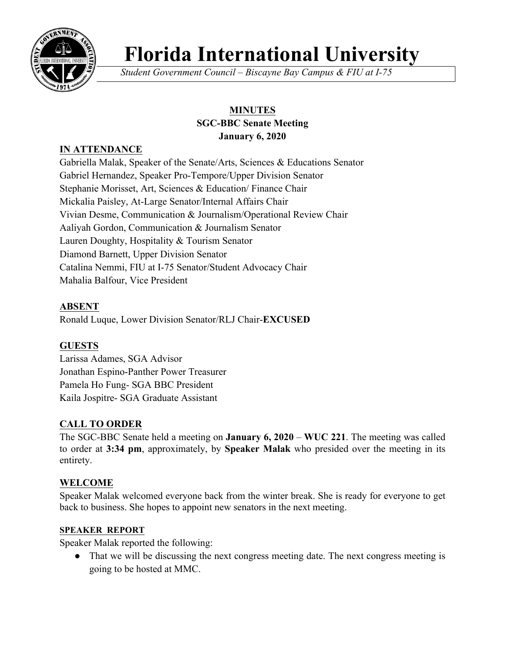

# **Florida International University**

*Student Government Council – Biscayne Bay Campus & FIU at I-75*

## **MINUTES SGC-BBC Senate Meeting January 6, 2020**

## **IN ATTENDANCE**

Gabriella Malak, Speaker of the Senate/Arts, Sciences & Educations Senator Gabriel Hernandez, Speaker Pro-Tempore/Upper Division Senator Stephanie Morisset, Art, Sciences & Education/ Finance Chair Mickalia Paisley, At-Large Senator/Internal Affairs Chair Vivian Desme, Communication & Journalism/Operational Review Chair Aaliyah Gordon, Communication & Journalism Senator Lauren Doughty, Hospitality & Tourism Senator Diamond Barnett, Upper Division Senator Catalina Nemmi, FIU at I-75 Senator/Student Advocacy Chair Mahalia Balfour, Vice President

## **ABSENT**

Ronald Luque, Lower Division Senator/RLJ Chair-**EXCUSED**

## **GUESTS**

Larissa Adames, SGA Advisor Jonathan Espino-Panther Power Treasurer Pamela Ho Fung- SGA BBC President Kaila Jospitre- SGA Graduate Assistant

## **CALL TO ORDER**

The SGC-BBC Senate held a meeting on **January 6, 2020** – **WUC 221**. The meeting was called to order at **3:34 pm**, approximately, by **Speaker Malak** who presided over the meeting in its entirety.

## **WELCOME**

Speaker Malak welcomed everyone back from the winter break. She is ready for everyone to get back to business. She hopes to appoint new senators in the next meeting.

#### **SPEAKER REPORT**

Speaker Malak reported the following:

● That we will be discussing the next congress meeting date. The next congress meeting is going to be hosted at MMC.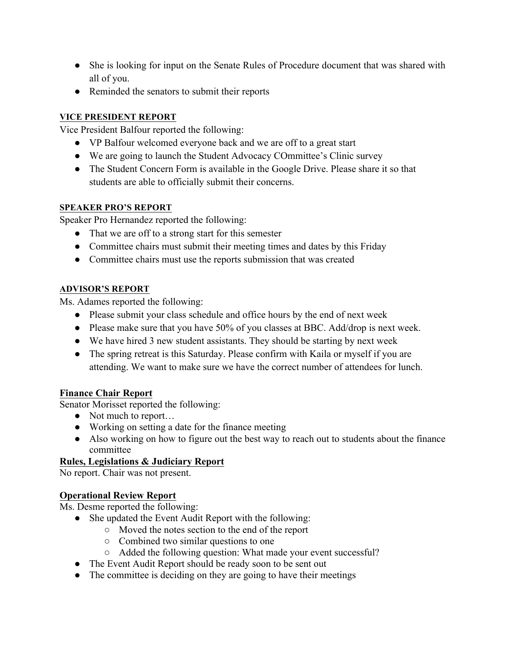- She is looking for input on the Senate Rules of Procedure document that was shared with all of you.
- Reminded the senators to submit their reports

#### **VICE PRESIDENT REPORT**

Vice President Balfour reported the following:

- VP Balfour welcomed everyone back and we are off to a great start
- We are going to launch the Student Advocacy COmmittee's Clinic survey
- The Student Concern Form is available in the Google Drive. Please share it so that students are able to officially submit their concerns.

#### **SPEAKER PRO'S REPORT**

Speaker Pro Hernandez reported the following:

- That we are off to a strong start for this semester
- Committee chairs must submit their meeting times and dates by this Friday
- Committee chairs must use the reports submission that was created

#### **ADVISOR'S REPORT**

Ms. Adames reported the following:

- Please submit your class schedule and office hours by the end of next week
- Please make sure that you have 50% of you classes at BBC. Add/drop is next week.
- We have hired 3 new student assistants. They should be starting by next week
- The spring retreat is this Saturday. Please confirm with Kaila or myself if you are attending. We want to make sure we have the correct number of attendees for lunch.

#### **Finance Chair Report**

Senator Morisset reported the following:

- Not much to report...
- Working on setting a date for the finance meeting
- Also working on how to figure out the best way to reach out to students about the finance committee

#### **Rules, Legislations & Judiciary Report**

No report. Chair was not present.

#### **Operational Review Report**

Ms. Desme reported the following:

- She updated the Event Audit Report with the following:
	- Moved the notes section to the end of the report
	- Combined two similar questions to one
	- Added the following question: What made your event successful?
- The Event Audit Report should be ready soon to be sent out
- The committee is deciding on they are going to have their meetings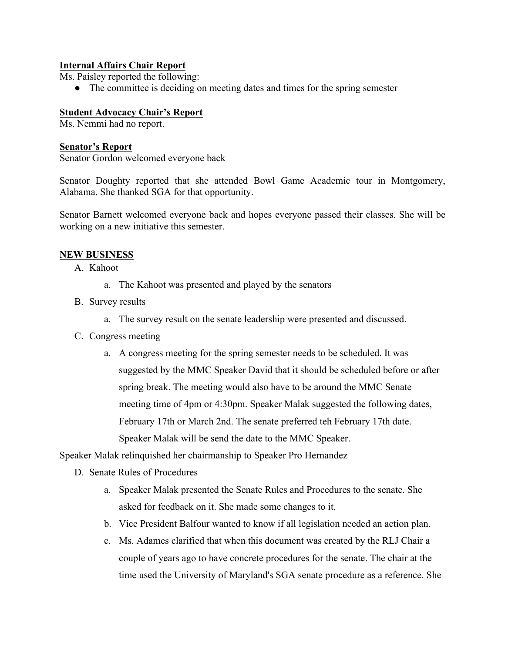#### **Internal Affairs Chair Report**

Ms. Paisley reported the following:

• The committee is deciding on meeting dates and times for the spring semester

#### **Student Advocacy Chair's Report**

Ms. Nemmi had no report.

#### **Senator's Report**

Senator Gordon welcomed everyone back

Senator Doughty reported that she attended Bowl Game Academic tour in Montgomery, Alabama. She thanked SGA for that opportunity.

Senator Barnett welcomed everyone back and hopes everyone passed their classes. She will be working on a new initiative this semester.

#### **NEW BUSINESS**

- A. Kahoot
	- a. The Kahoot was presented and played by the senators
- B. Survey results
	- a. The survey result on the senate leadership were presented and discussed.
- C. Congress meeting
	- a. A congress meeting for the spring semester needs to be scheduled. It was suggested by the MMC Speaker David that it should be scheduled before or after spring break. The meeting would also have to be around the MMC Senate meeting time of 4pm or 4:30pm. Speaker Malak suggested the following dates, February 17th or March 2nd. The senate preferred teh February 17th date. Speaker Malak will be send the date to the MMC Speaker.

Speaker Malak relinquished her chairmanship to Speaker Pro Hernandez

- D. Senate Rules of Procedures
	- a. Speaker Malak presented the Senate Rules and Procedures to the senate. She asked for feedback on it. She made some changes to it.
	- b. Vice President Balfour wanted to know if all legislation needed an action plan.
	- c. Ms. Adames clarified that when this document was created by the RLJ Chair a couple of years ago to have concrete procedures for the senate. The chair at the time used the University of Maryland's SGA senate procedure as a reference. She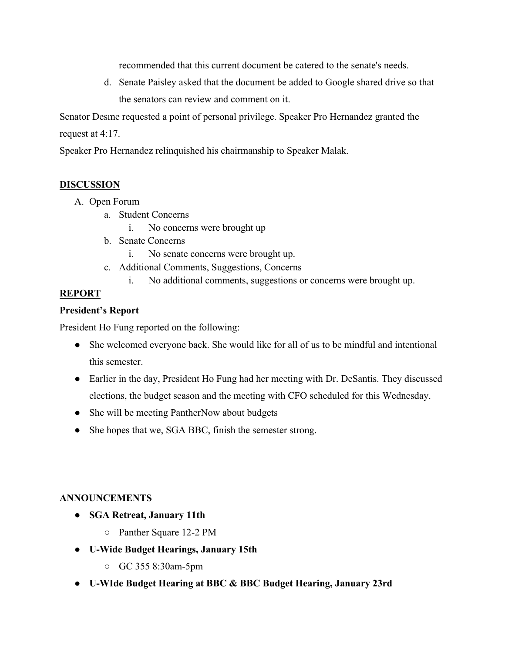recommended that this current document be catered to the senate's needs.

d. Senate Paisley asked that the document be added to Google shared drive so that the senators can review and comment on it.

Senator Desme requested a point of personal privilege. Speaker Pro Hernandez granted the request at 4:17.

Speaker Pro Hernandez relinquished his chairmanship to Speaker Malak.

#### **DISCUSSION**

- A. Open Forum
	- a. Student Concerns
		- i. No concerns were brought up
	- b. Senate Concerns
		- i. No senate concerns were brought up.
	- c. Additional Comments, Suggestions, Concerns
		- i. No additional comments, suggestions or concerns were brought up.

#### **REPORT**

#### **President's Report**

President Ho Fung reported on the following:

- She welcomed everyone back. She would like for all of us to be mindful and intentional this semester.
- Earlier in the day, President Ho Fung had her meeting with Dr. DeSantis. They discussed elections, the budget season and the meeting with CFO scheduled for this Wednesday.
- She will be meeting PantherNow about budgets
- She hopes that we, SGA BBC, finish the semester strong.

#### **ANNOUNCEMENTS**

- **SGA Retreat, January 11th**
	- Panther Square 12-2 PM
- **U-Wide Budget Hearings, January 15th** 
	- GC 355 8:30am-5pm
- **U-WIde Budget Hearing at BBC & BBC Budget Hearing, January 23rd**